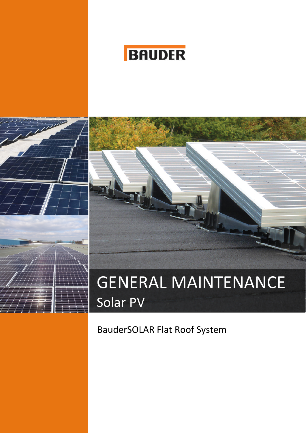





## BauderSOLAR Flat Roof System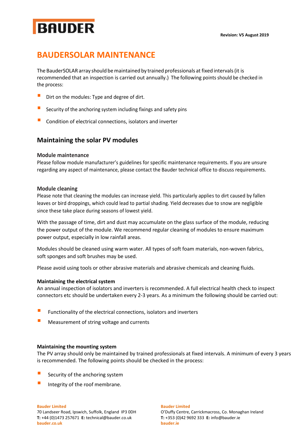# **BAUDER**

## **BAUDERSOLAR MAINTENANCE**

The BauderSOLAR array should bemaintained by trained professionals at fixed intervals(it is recommended that an inspection is carried out annually.) The following points should be checked in the process:

- **E** Dirt on the modules: Type and degree of dirt.
- Security of the anchoring system including fixings and safety pins
- Condition of electrical connections, isolators and inverter

#### **Maintaining the solar PV modules**

#### **Module maintenance**

Please follow module manufacturer's guidelines for specific maintenance requirements. If you are unsure regarding any aspect of maintenance, please contact the Bauder technical office to discuss requirements.

#### **Module cleaning**

Please note that cleaning the modules can increase yield. This particularly applies to dirt caused by fallen leaves or bird droppings, which could lead to partial shading. Yield decreases due to snow are negligible since these take place during seasons of lowest yield.

With the passage of time, dirt and dust may accumulate on the glass surface of the module, reducing the power output of the module. We recommend regular cleaning of modules to ensure maximum power output, especially in low rainfall areas.

Modules should be cleaned using warm water. All types of soft foam materials, non-woven fabrics, soft sponges and soft brushes may be used.

Please avoid using tools or other abrasive materials and abrasive chemicals and cleaning fluids.

#### **Maintaining the electrical system**

An annual inspection of isolators and inverters is recommended. A full electrical health check to inspect connectors etc should be undertaken every 2-3 years. As a minimum the following should be carried out:

- $\blacksquare$  Functionality of the electrical connections, isolators and inverters
- Measurement of string voltage and currents

#### **Maintaining the mounting system**

The PV array should only be maintained by trained professionals at fixed intervals. A minimum of every 3 years is recommended. The following points should be checked in the process:

- $\blacksquare$  Security of the anchoring system
- Integrity of the roof membrane.

#### **Bauder Limited Bauder Limited**

**T:** +44 (0)1473 257671 **E:** technical@bauder.co.uk **T:** +353 (0)42 9692 333 **E:** info@bauder.ie **bauder.co.uk bauder.ie**

70 Landseer Road, Ipswich, Suffolk, England IP3 0DH O'Duffy Centre, Carrickmacross, Co. Monaghan Ireland